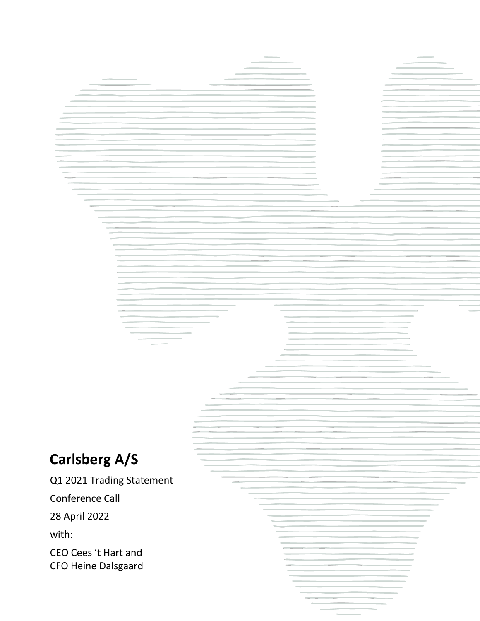# **Carlsberg A/S**

Q1 2021 Trading Statement

Conference Call

28 April 2022

with:

CEO Cees 't Hart and CFO Heine Dalsgaard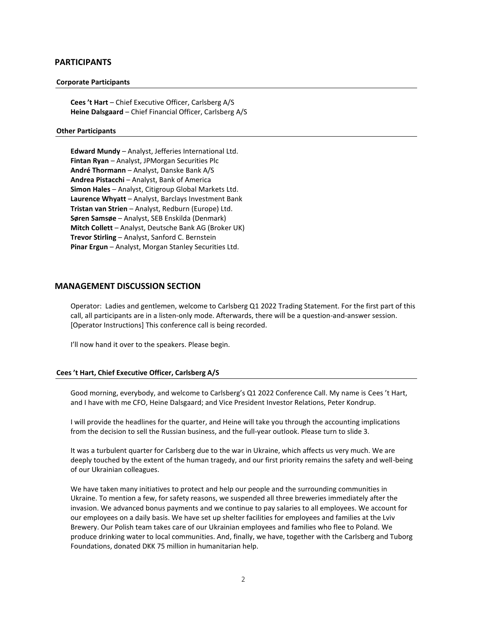## **PARTICIPANTS**

### **Corporate Participants**

**Cees 't Hart** – Chief Executive Officer, Carlsberg A/S **Heine Dalsgaard** – Chief Financial Officer, Carlsberg A/S

#### **Other Participants**

**Edward Mundy** – Analyst, Jefferies International Ltd. **Fintan Ryan** – Analyst, JPMorgan Securities Plc **André Thormann** – Analyst, Danske Bank A/S **Andrea Pistacchi** – Analyst, Bank of America **Simon Hales** – Analyst, Citigroup Global Markets Ltd. **Laurence Whyatt** – Analyst, Barclays Investment Bank **Tristan van Strien** – Analyst, Redburn (Europe) Ltd. **Søren Samsøe** – Analyst, SEB Enskilda (Denmark) **Mitch Collett** – Analyst, Deutsche Bank AG (Broker UK) **Trevor Stirling** – Analyst, Sanford C. Bernstein **Pinar Ergun** – Analyst, Morgan Stanley Securities Ltd.

## **MANAGEMENT DISCUSSION SECTION**

Operator: Ladies and gentlemen, welcome to Carlsberg Q1 2022 Trading Statement. For the first part of this call, all participants are in a listen-only mode. Afterwards, there will be a question-and-answer session. [Operator Instructions] This conference call is being recorded.

I'll now hand it over to the speakers. Please begin.

## **Cees 't Hart, Chief Executive Officer, Carlsberg A/S**

Good morning, everybody, and welcome to Carlsberg's Q1 2022 Conference Call. My name is Cees 't Hart, and I have with me CFO, Heine Dalsgaard; and Vice President Investor Relations, Peter Kondrup.

I will provide the headlines for the quarter, and Heine will take you through the accounting implications from the decision to sell the Russian business, and the full-year outlook. Please turn to slide 3.

It was a turbulent quarter for Carlsberg due to the war in Ukraine, which affects us very much. We are deeply touched by the extent of the human tragedy, and our first priority remains the safety and well-being of our Ukrainian colleagues.

We have taken many initiatives to protect and help our people and the surrounding communities in Ukraine. To mention a few, for safety reasons, we suspended all three breweries immediately after the invasion. We advanced bonus payments and we continue to pay salaries to all employees. We account for our employees on a daily basis. We have set up shelter facilities for employees and families at the Lviv Brewery. Our Polish team takes care of our Ukrainian employees and families who flee to Poland. We produce drinking water to local communities. And, finally, we have, together with the Carlsberg and Tuborg Foundations, donated DKK 75 million in humanitarian help.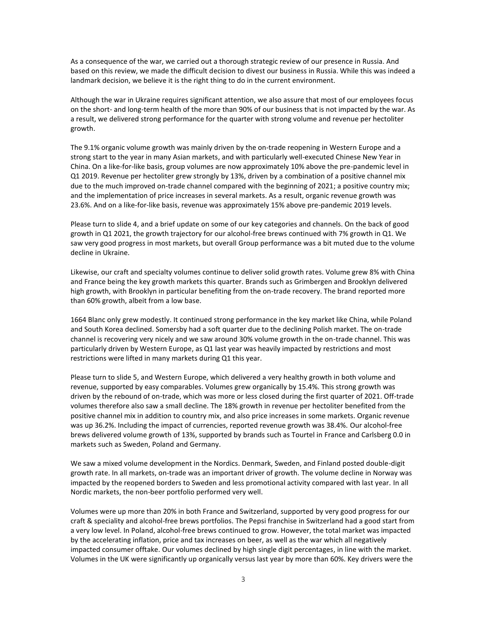As a consequence of the war, we carried out a thorough strategic review of our presence in Russia. And based on this review, we made the difficult decision to divest our business in Russia. While this was indeed a landmark decision, we believe it is the right thing to do in the current environment.

Although the war in Ukraine requires significant attention, we also assure that most of our employees focus on the short- and long-term health of the more than 90% of our business that is not impacted by the war. As a result, we delivered strong performance for the quarter with strong volume and revenue per hectoliter growth.

The 9.1% organic volume growth was mainly driven by the on-trade reopening in Western Europe and a strong start to the year in many Asian markets, and with particularly well-executed Chinese New Year in China. On a like-for-like basis, group volumes are now approximately 10% above the pre-pandemic level in Q1 2019. Revenue per hectoliter grew strongly by 13%, driven by a combination of a positive channel mix due to the much improved on-trade channel compared with the beginning of 2021; a positive country mix; and the implementation of price increases in several markets. As a result, organic revenue growth was 23.6%. And on a like-for-like basis, revenue was approximately 15% above pre-pandemic 2019 levels.

Please turn to slide 4, and a brief update on some of our key categories and channels. On the back of good growth in Q1 2021, the growth trajectory for our alcohol-free brews continued with 7% growth in Q1. We saw very good progress in most markets, but overall Group performance was a bit muted due to the volume decline in Ukraine.

Likewise, our craft and specialty volumes continue to deliver solid growth rates. Volume grew 8% with China and France being the key growth markets this quarter. Brands such as Grimbergen and Brooklyn delivered high growth, with Brooklyn in particular benefiting from the on-trade recovery. The brand reported more than 60% growth, albeit from a low base.

1664 Blanc only grew modestly. It continued strong performance in the key market like China, while Poland and South Korea declined. Somersby had a soft quarter due to the declining Polish market. The on-trade channel is recovering very nicely and we saw around 30% volume growth in the on-trade channel. This was particularly driven by Western Europe, as Q1 last year was heavily impacted by restrictions and most restrictions were lifted in many markets during Q1 this year.

Please turn to slide 5, and Western Europe, which delivered a very healthy growth in both volume and revenue, supported by easy comparables. Volumes grew organically by 15.4%. This strong growth was driven by the rebound of on-trade, which was more or less closed during the first quarter of 2021. Off-trade volumes therefore also saw a small decline. The 18% growth in revenue per hectoliter benefited from the positive channel mix in addition to country mix, and also price increases in some markets. Organic revenue was up 36.2%. Including the impact of currencies, reported revenue growth was 38.4%. Our alcohol-free brews delivered volume growth of 13%, supported by brands such as Tourtel in France and Carlsberg 0.0 in markets such as Sweden, Poland and Germany.

We saw a mixed volume development in the Nordics. Denmark, Sweden, and Finland posted double-digit growth rate. In all markets, on-trade was an important driver of growth. The volume decline in Norway was impacted by the reopened borders to Sweden and less promotional activity compared with last year. In all Nordic markets, the non-beer portfolio performed very well.

Volumes were up more than 20% in both France and Switzerland, supported by very good progress for our craft & speciality and alcohol-free brews portfolios. The Pepsi franchise in Switzerland had a good start from a very low level. In Poland, alcohol-free brews continued to grow. However, the total market was impacted by the accelerating inflation, price and tax increases on beer, as well as the war which all negatively impacted consumer offtake. Our volumes declined by high single digit percentages, in line with the market. Volumes in the UK were significantly up organically versus last year by more than 60%. Key drivers were the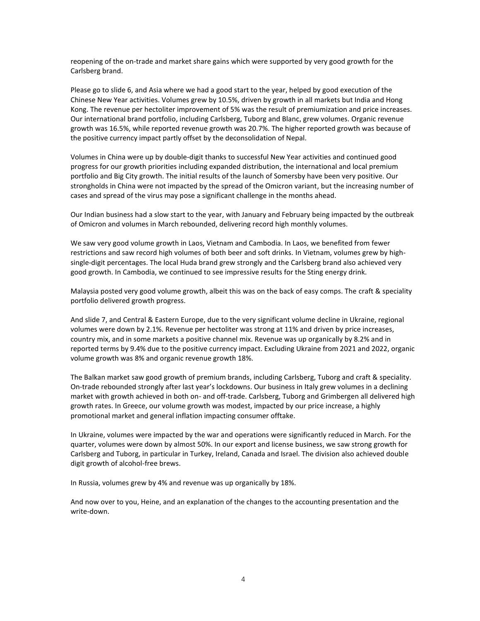reopening of the on-trade and market share gains which were supported by very good growth for the Carlsberg brand.

Please go to slide 6, and Asia where we had a good start to the year, helped by good execution of the Chinese New Year activities. Volumes grew by 10.5%, driven by growth in all markets but India and Hong Kong. The revenue per hectoliter improvement of 5% was the result of premiumization and price increases. Our international brand portfolio, including Carlsberg, Tuborg and Blanc, grew volumes. Organic revenue growth was 16.5%, while reported revenue growth was 20.7%. The higher reported growth was because of the positive currency impact partly offset by the deconsolidation of Nepal.

Volumes in China were up by double-digit thanks to successful New Year activities and continued good progress for our growth priorities including expanded distribution, the international and local premium portfolio and Big City growth. The initial results of the launch of Somersby have been very positive. Our strongholds in China were not impacted by the spread of the Omicron variant, but the increasing number of cases and spread of the virus may pose a significant challenge in the months ahead.

Our Indian business had a slow start to the year, with January and February being impacted by the outbreak of Omicron and volumes in March rebounded, delivering record high monthly volumes.

We saw very good volume growth in Laos, Vietnam and Cambodia. In Laos, we benefited from fewer restrictions and saw record high volumes of both beer and soft drinks. In Vietnam, volumes grew by highsingle-digit percentages. The local Huda brand grew strongly and the Carlsberg brand also achieved very good growth. In Cambodia, we continued to see impressive results for the Sting energy drink.

Malaysia posted very good volume growth, albeit this was on the back of easy comps. The craft & speciality portfolio delivered growth progress.

And slide 7, and Central & Eastern Europe, due to the very significant volume decline in Ukraine, regional volumes were down by 2.1%. Revenue per hectoliter was strong at 11% and driven by price increases, country mix, and in some markets a positive channel mix. Revenue was up organically by 8.2% and in reported terms by 9.4% due to the positive currency impact. Excluding Ukraine from 2021 and 2022, organic volume growth was 8% and organic revenue growth 18%.

The Balkan market saw good growth of premium brands, including Carlsberg, Tuborg and craft & speciality. On-trade rebounded strongly after last year's lockdowns. Our business in Italy grew volumes in a declining market with growth achieved in both on- and off-trade. Carlsberg, Tuborg and Grimbergen all delivered high growth rates. In Greece, our volume growth was modest, impacted by our price increase, a highly promotional market and general inflation impacting consumer offtake.

In Ukraine, volumes were impacted by the war and operations were significantly reduced in March. For the quarter, volumes were down by almost 50%. In our export and license business, we saw strong growth for Carlsberg and Tuborg, in particular in Turkey, Ireland, Canada and Israel. The division also achieved double digit growth of alcohol-free brews.

In Russia, volumes grew by 4% and revenue was up organically by 18%.

And now over to you, Heine, and an explanation of the changes to the accounting presentation and the write-down.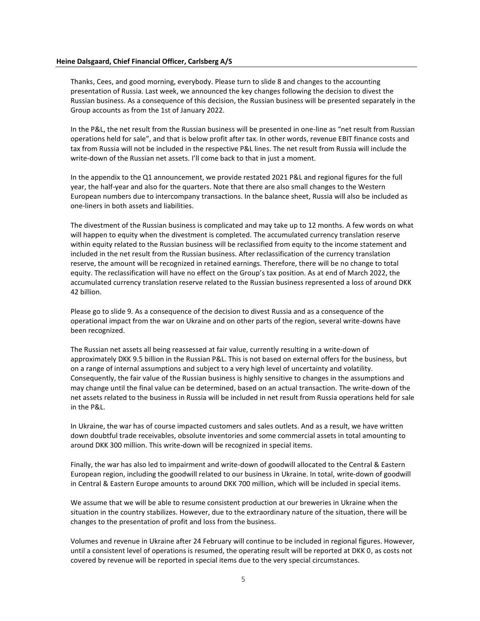#### **Heine Dalsgaard, Chief Financial Officer, Carlsberg A/S**

Thanks, Cees, and good morning, everybody. Please turn to slide 8 and changes to the accounting presentation of Russia. Last week, we announced the key changes following the decision to divest the Russian business. As a consequence of this decision, the Russian business will be presented separately in the Group accounts as from the 1st of January 2022.

In the P&L, the net result from the Russian business will be presented in one-line as "net result from Russian operations held for sale", and that is below profit after tax. In other words, revenue EBIT finance costs and tax from Russia will not be included in the respective P&L lines. The net result from Russia will include the write-down of the Russian net assets. I'll come back to that in just a moment.

In the appendix to the Q1 announcement, we provide restated 2021 P&L and regional figures for the full year, the half-year and also for the quarters. Note that there are also small changes to the Western European numbers due to intercompany transactions. In the balance sheet, Russia will also be included as one-liners in both assets and liabilities.

The divestment of the Russian business is complicated and may take up to 12 months. A few words on what will happen to equity when the divestment is completed. The accumulated currency translation reserve within equity related to the Russian business will be reclassified from equity to the income statement and included in the net result from the Russian business. After reclassification of the currency translation reserve, the amount will be recognized in retained earnings. Therefore, there will be no change to total equity. The reclassification will have no effect on the Group's tax position. As at end of March 2022, the accumulated currency translation reserve related to the Russian business represented a loss of around DKK 42 billion.

Please go to slide 9. As a consequence of the decision to divest Russia and as a consequence of the operational impact from the war on Ukraine and on other parts of the region, several write-downs have been recognized.

The Russian net assets all being reassessed at fair value, currently resulting in a write-down of approximately DKK 9.5 billion in the Russian P&L. This is not based on external offers for the business, but on a range of internal assumptions and subject to a very high level of uncertainty and volatility. Consequently, the fair value of the Russian business is highly sensitive to changes in the assumptions and may change until the final value can be determined, based on an actual transaction. The write-down of the net assets related to the business in Russia will be included in net result from Russia operations held for sale in the P&L.

In Ukraine, the war has of course impacted customers and sales outlets. And as a result, we have written down doubtful trade receivables, obsolute inventories and some commercial assets in total amounting to around DKK 300 million. This write-down will be recognized in special items.

Finally, the war has also led to impairment and write-down of goodwill allocated to the Central & Eastern European region, including the goodwill related to our business in Ukraine. In total, write-down of goodwill in Central & Eastern Europe amounts to around DKK 700 million, which will be included in special items.

We assume that we will be able to resume consistent production at our breweries in Ukraine when the situation in the country stabilizes. However, due to the extraordinary nature of the situation, there will be changes to the presentation of profit and loss from the business.

Volumes and revenue in Ukraine after 24 February will continue to be included in regional figures. However, until a consistent level of operations is resumed, the operating result will be reported at DKK 0, as costs not covered by revenue will be reported in special items due to the very special circumstances.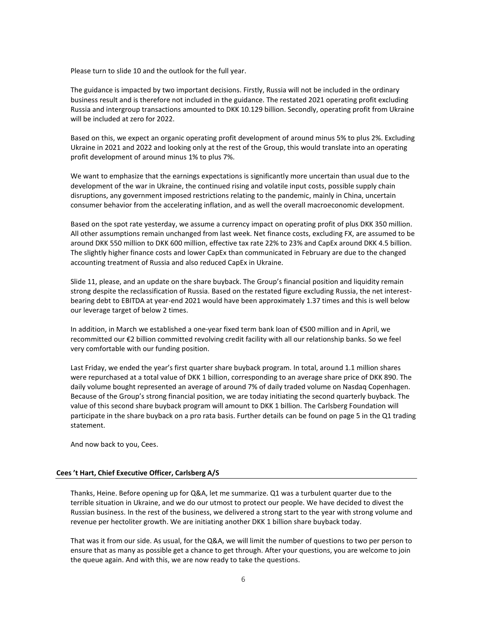Please turn to slide 10 and the outlook for the full year.

The guidance is impacted by two important decisions. Firstly, Russia will not be included in the ordinary business result and is therefore not included in the guidance. The restated 2021 operating profit excluding Russia and intergroup transactions amounted to DKK 10.129 billion. Secondly, operating profit from Ukraine will be included at zero for 2022.

Based on this, we expect an organic operating profit development of around minus 5% to plus 2%. Excluding Ukraine in 2021 and 2022 and looking only at the rest of the Group, this would translate into an operating profit development of around minus 1% to plus 7%.

We want to emphasize that the earnings expectations is significantly more uncertain than usual due to the development of the war in Ukraine, the continued rising and volatile input costs, possible supply chain disruptions, any government imposed restrictions relating to the pandemic, mainly in China, uncertain consumer behavior from the accelerating inflation, and as well the overall macroeconomic development.

Based on the spot rate yesterday, we assume a currency impact on operating profit of plus DKK 350 million. All other assumptions remain unchanged from last week. Net finance costs, excluding FX, are assumed to be around DKK 550 million to DKK 600 million, effective tax rate 22% to 23% and CapEx around DKK 4.5 billion. The slightly higher finance costs and lower CapEx than communicated in February are due to the changed accounting treatment of Russia and also reduced CapEx in Ukraine.

Slide 11, please, and an update on the share buyback. The Group's financial position and liquidity remain strong despite the reclassification of Russia. Based on the restated figure excluding Russia, the net interestbearing debt to EBITDA at year-end 2021 would have been approximately 1.37 times and this is well below our leverage target of below 2 times.

In addition, in March we established a one-year fixed term bank loan of €500 million and in April, we recommitted our €2 billion committed revolving credit facility with all our relationship banks. So we feel very comfortable with our funding position.

Last Friday, we ended the year's first quarter share buyback program. In total, around 1.1 million shares were repurchased at a total value of DKK 1 billion, corresponding to an average share price of DKK 890. The daily volume bought represented an average of around 7% of daily traded volume on Nasdaq Copenhagen. Because of the Group's strong financial position, we are today initiating the second quarterly buyback. The value of this second share buyback program will amount to DKK 1 billion. The Carlsberg Foundation will participate in the share buyback on a pro rata basis. Further details can be found on page 5 in the Q1 trading statement.

And now back to you, Cees.

## **Cees 't Hart, Chief Executive Officer, Carlsberg A/S**

Thanks, Heine. Before opening up for Q&A, let me summarize. Q1 was a turbulent quarter due to the terrible situation in Ukraine, and we do our utmost to protect our people. We have decided to divest the Russian business. In the rest of the business, we delivered a strong start to the year with strong volume and revenue per hectoliter growth. We are initiating another DKK 1 billion share buyback today.

That was it from our side. As usual, for the Q&A, we will limit the number of questions to two per person to ensure that as many as possible get a chance to get through. After your questions, you are welcome to join the queue again. And with this, we are now ready to take the questions.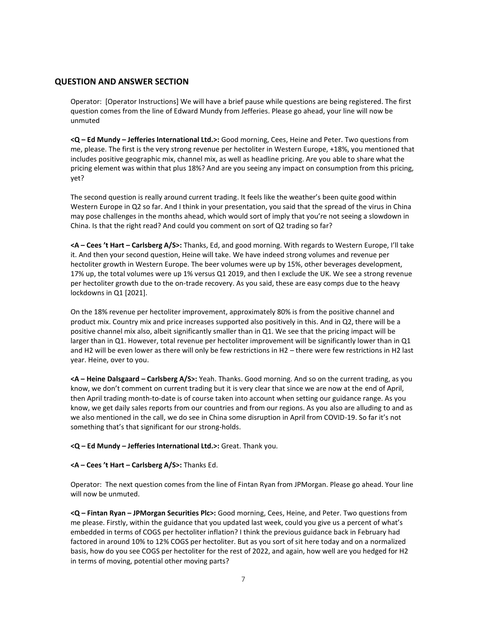# **QUESTION AND ANSWER SECTION**

Operator: [Operator Instructions] We will have a brief pause while questions are being registered. The first question comes from the line of Edward Mundy from Jefferies. Please go ahead, your line will now be unmuted

**<Q – Ed Mundy – Jefferies International Ltd.>:** Good morning, Cees, Heine and Peter. Two questions from me, please. The first is the very strong revenue per hectoliter in Western Europe, +18%, you mentioned that includes positive geographic mix, channel mix, as well as headline pricing. Are you able to share what the pricing element was within that plus 18%? And are you seeing any impact on consumption from this pricing, yet?

The second question is really around current trading. It feels like the weather's been quite good within Western Europe in Q2 so far. And I think in your presentation, you said that the spread of the virus in China may pose challenges in the months ahead, which would sort of imply that you're not seeing a slowdown in China. Is that the right read? And could you comment on sort of Q2 trading so far?

**<A – Cees 't Hart – Carlsberg A/S>:** Thanks, Ed, and good morning. With regards to Western Europe, I'll take it. And then your second question, Heine will take. We have indeed strong volumes and revenue per hectoliter growth in Western Europe. The beer volumes were up by 15%, other beverages development, 17% up, the total volumes were up 1% versus Q1 2019, and then I exclude the UK. We see a strong revenue per hectoliter growth due to the on-trade recovery. As you said, these are easy comps due to the heavy lockdowns in Q1 [2021].

On the 18% revenue per hectoliter improvement, approximately 80% is from the positive channel and product mix. Country mix and price increases supported also positively in this. And in Q2, there will be a positive channel mix also, albeit significantly smaller than in Q1. We see that the pricing impact will be larger than in Q1. However, total revenue per hectoliter improvement will be significantly lower than in Q1 and H2 will be even lower as there will only be few restrictions in H2 – there were few restrictions in H2 last year. Heine, over to you.

**<A – Heine Dalsgaard – Carlsberg A/S>:** Yeah. Thanks. Good morning. And so on the current trading, as you know, we don't comment on current trading but it is very clear that since we are now at the end of April, then April trading month-to-date is of course taken into account when setting our guidance range. As you know, we get daily sales reports from our countries and from our regions. As you also are alluding to and as we also mentioned in the call, we do see in China some disruption in April from COVID-19. So far it's not something that's that significant for our strong-holds.

**<Q – Ed Mundy – Jefferies International Ltd.>:** Great. Thank you.

# **<A – Cees 't Hart – Carlsberg A/S>:** Thanks Ed.

Operator: The next question comes from the line of Fintan Ryan from JPMorgan. Please go ahead. Your line will now be unmuted.

**<Q – Fintan Ryan – JPMorgan Securities Plc>:** Good morning, Cees, Heine, and Peter. Two questions from me please. Firstly, within the guidance that you updated last week, could you give us a percent of what's embedded in terms of COGS per hectoliter inflation? I think the previous guidance back in February had factored in around 10% to 12% COGS per hectoliter. But as you sort of sit here today and on a normalized basis, how do you see COGS per hectoliter for the rest of 2022, and again, how well are you hedged for H2 in terms of moving, potential other moving parts?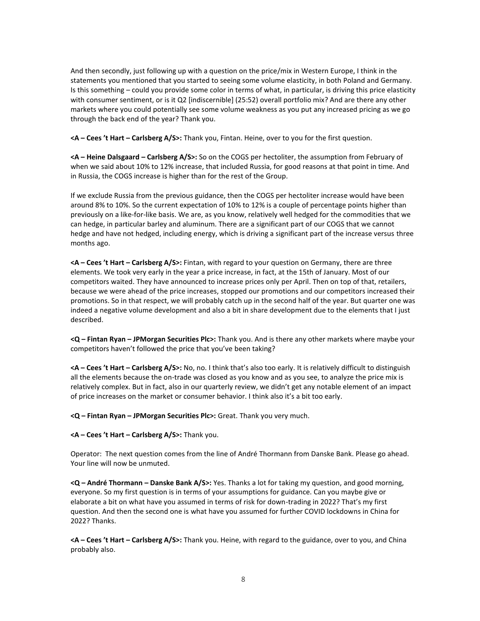And then secondly, just following up with a question on the price/mix in Western Europe, I think in the statements you mentioned that you started to seeing some volume elasticity, in both Poland and Germany. Is this something – could you provide some color in terms of what, in particular, is driving this price elasticity with consumer sentiment, or is it Q2 [indiscernible] (25:52) overall portfolio mix? And are there any other markets where you could potentially see some volume weakness as you put any increased pricing as we go through the back end of the year? Thank you.

**<A – Cees 't Hart – Carlsberg A/S>:** Thank you, Fintan. Heine, over to you for the first question.

**<A – Heine Dalsgaard – Carlsberg A/S>:** So on the COGS per hectoliter, the assumption from February of when we said about 10% to 12% increase, that included Russia, for good reasons at that point in time. And in Russia, the COGS increase is higher than for the rest of the Group.

If we exclude Russia from the previous guidance, then the COGS per hectoliter increase would have been around 8% to 10%. So the current expectation of 10% to 12% is a couple of percentage points higher than previously on a like-for-like basis. We are, as you know, relatively well hedged for the commodities that we can hedge, in particular barley and aluminum. There are a significant part of our COGS that we cannot hedge and have not hedged, including energy, which is driving a significant part of the increase versus three months ago.

**<A – Cees 't Hart – Carlsberg A/S>:** Fintan, with regard to your question on Germany, there are three elements. We took very early in the year a price increase, in fact, at the 15th of January. Most of our competitors waited. They have announced to increase prices only per April. Then on top of that, retailers, because we were ahead of the price increases, stopped our promotions and our competitors increased their promotions. So in that respect, we will probably catch up in the second half of the year. But quarter one was indeed a negative volume development and also a bit in share development due to the elements that I just described.

**<Q – Fintan Ryan – JPMorgan Securities Plc>:** Thank you. And is there any other markets where maybe your competitors haven't followed the price that you've been taking?

**<A – Cees 't Hart – Carlsberg A/S>:** No, no. I think that's also too early. It is relatively difficult to distinguish all the elements because the on-trade was closed as you know and as you see, to analyze the price mix is relatively complex. But in fact, also in our quarterly review, we didn't get any notable element of an impact of price increases on the market or consumer behavior. I think also it's a bit too early.

**<Q – Fintan Ryan – JPMorgan Securities Plc>:** Great. Thank you very much.

**<A – Cees 't Hart – Carlsberg A/S>:** Thank you.

Operator: The next question comes from the line of André Thormann from Danske Bank. Please go ahead. Your line will now be unmuted.

**<Q – André Thormann – Danske Bank A/S>:** Yes. Thanks a lot for taking my question, and good morning, everyone. So my first question is in terms of your assumptions for guidance. Can you maybe give or elaborate a bit on what have you assumed in terms of risk for down-trading in 2022? That's my first question. And then the second one is what have you assumed for further COVID lockdowns in China for 2022? Thanks.

**<A – Cees 't Hart – Carlsberg A/S>:** Thank you. Heine, with regard to the guidance, over to you, and China probably also.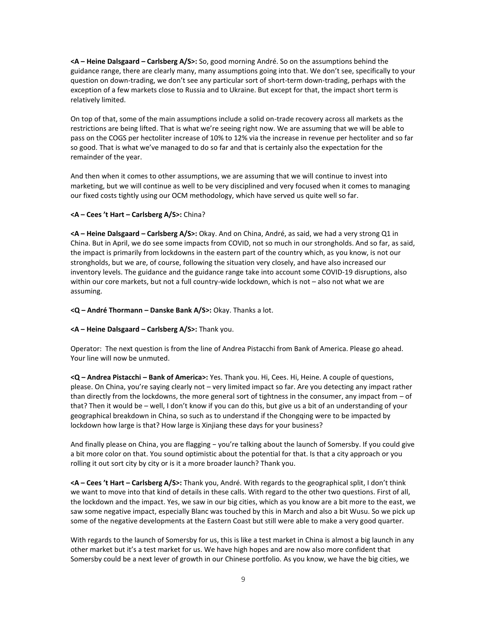**<A – Heine Dalsgaard – Carlsberg A/S>:** So, good morning André. So on the assumptions behind the guidance range, there are clearly many, many assumptions going into that. We don't see, specifically to your question on down-trading, we don't see any particular sort of short-term down-trading, perhaps with the exception of a few markets close to Russia and to Ukraine. But except for that, the impact short term is relatively limited.

On top of that, some of the main assumptions include a solid on-trade recovery across all markets as the restrictions are being lifted. That is what we're seeing right now. We are assuming that we will be able to pass on the COGS per hectoliter increase of 10% to 12% via the increase in revenue per hectoliter and so far so good. That is what we've managed to do so far and that is certainly also the expectation for the remainder of the year.

And then when it comes to other assumptions, we are assuming that we will continue to invest into marketing, but we will continue as well to be very disciplined and very focused when it comes to managing our fixed costs tightly using our OCM methodology, which have served us quite well so far.

# **<A – Cees 't Hart – Carlsberg A/S>:** China?

**<A – Heine Dalsgaard – Carlsberg A/S>:** Okay. And on China, André, as said, we had a very strong Q1 in China. But in April, we do see some impacts from COVID, not so much in our strongholds. And so far, as said, the impact is primarily from lockdowns in the eastern part of the country which, as you know, is not our strongholds, but we are, of course, following the situation very closely, and have also increased our inventory levels. The guidance and the guidance range take into account some COVID-19 disruptions, also within our core markets, but not a full country-wide lockdown, which is not – also not what we are assuming.

## **<Q – André Thormann – Danske Bank A/S>:** Okay. Thanks a lot.

# **<A – Heine Dalsgaard – Carlsberg A/S>:** Thank you.

Operator: The next question is from the line of Andrea Pistacchi from Bank of America. Please go ahead. Your line will now be unmuted.

**<Q – Andrea Pistacchi – Bank of America>:** Yes. Thank you. Hi, Cees. Hi, Heine. A couple of questions, please. On China, you're saying clearly not – very limited impact so far. Are you detecting any impact rather than directly from the lockdowns, the more general sort of tightness in the consumer, any impact from – of that? Then it would be – well, I don't know if you can do this, but give us a bit of an understanding of your geographical breakdown in China, so such as to understand if the Chongqing were to be impacted by lockdown how large is that? How large is Xinjiang these days for your business?

And finally please on China, you are flagging − you're talking about the launch of Somersby. If you could give a bit more color on that. You sound optimistic about the potential for that. Is that a city approach or you rolling it out sort city by city or is it a more broader launch? Thank you.

**<A – Cees 't Hart – Carlsberg A/S>:** Thank you, André. With regards to the geographical split, I don't think we want to move into that kind of details in these calls. With regard to the other two questions. First of all, the lockdown and the impact. Yes, we saw in our big cities, which as you know are a bit more to the east, we saw some negative impact, especially Blanc was touched by this in March and also a bit Wusu. So we pick up some of the negative developments at the Eastern Coast but still were able to make a very good quarter.

With regards to the launch of Somersby for us, this is like a test market in China is almost a big launch in any other market but it's a test market for us. We have high hopes and are now also more confident that Somersby could be a next lever of growth in our Chinese portfolio. As you know, we have the big cities, we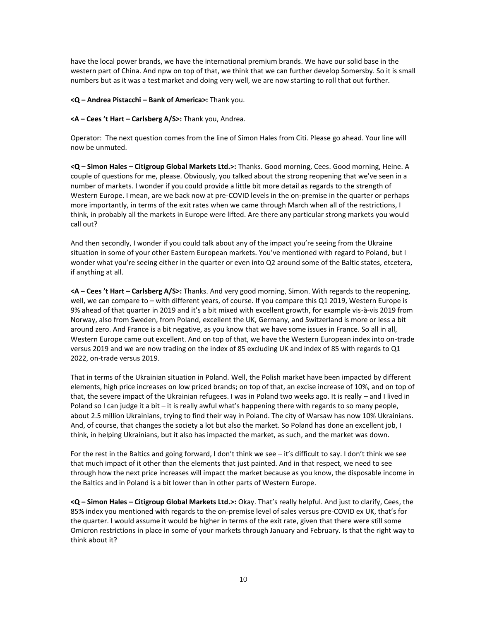have the local power brands, we have the international premium brands. We have our solid base in the western part of China. And npw on top of that, we think that we can further develop Somersby. So it is small numbers but as it was a test market and doing very well, we are now starting to roll that out further.

**<Q – Andrea Pistacchi – Bank of America>:** Thank you.

**<A – Cees 't Hart – Carlsberg A/S>:** Thank you, Andrea.

Operator: The next question comes from the line of Simon Hales from Citi. Please go ahead. Your line will now be unmuted.

**<Q – Simon Hales – Citigroup Global Markets Ltd.>:** Thanks. Good morning, Cees. Good morning, Heine. A couple of questions for me, please. Obviously, you talked about the strong reopening that we've seen in a number of markets. I wonder if you could provide a little bit more detail as regards to the strength of Western Europe. I mean, are we back now at pre-COVID levels in the on-premise in the quarter or perhaps more importantly, in terms of the exit rates when we came through March when all of the restrictions, I think, in probably all the markets in Europe were lifted. Are there any particular strong markets you would call out?

And then secondly, I wonder if you could talk about any of the impact you're seeing from the Ukraine situation in some of your other Eastern European markets. You've mentioned with regard to Poland, but I wonder what you're seeing either in the quarter or even into Q2 around some of the Baltic states, etcetera, if anything at all.

**<A – Cees 't Hart – Carlsberg A/S>:** Thanks. And very good morning, Simon. With regards to the reopening, well, we can compare to – with different years, of course. If you compare this Q1 2019, Western Europe is 9% ahead of that quarter in 2019 and it's a bit mixed with excellent growth, for example vis-à-vis 2019 from Norway, also from Sweden, from Poland, excellent the UK, Germany, and Switzerland is more or less a bit around zero. And France is a bit negative, as you know that we have some issues in France. So all in all, Western Europe came out excellent. And on top of that, we have the Western European index into on-trade versus 2019 and we are now trading on the index of 85 excluding UK and index of 85 with regards to Q1 2022, on-trade versus 2019.

That in terms of the Ukrainian situation in Poland. Well, the Polish market have been impacted by different elements, high price increases on low priced brands; on top of that, an excise increase of 10%, and on top of that, the severe impact of the Ukrainian refugees. I was in Poland two weeks ago. It is really – and I lived in Poland so I can judge it a bit – it is really awful what's happening there with regards to so many people, about 2.5 million Ukrainians, trying to find their way in Poland. The city of Warsaw has now 10% Ukrainians. And, of course, that changes the society a lot but also the market. So Poland has done an excellent job, I think, in helping Ukrainians, but it also has impacted the market, as such, and the market was down.

For the rest in the Baltics and going forward, I don't think we see – it's difficult to say. I don't think we see that much impact of it other than the elements that just painted. And in that respect, we need to see through how the next price increases will impact the market because as you know, the disposable income in the Baltics and in Poland is a bit lower than in other parts of Western Europe.

**<Q – Simon Hales – Citigroup Global Markets Ltd.>:** Okay. That's really helpful. And just to clarify, Cees, the 85% index you mentioned with regards to the on-premise level of sales versus pre-COVID ex UK, that's for the quarter. I would assume it would be higher in terms of the exit rate, given that there were still some Omicron restrictions in place in some of your markets through January and February. Is that the right way to think about it?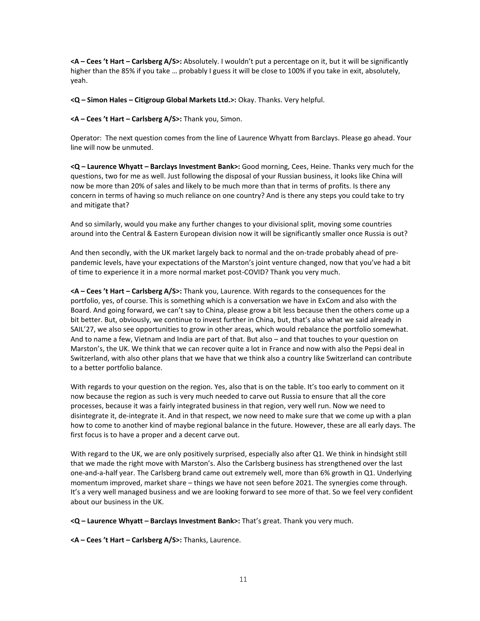**<A – Cees 't Hart – Carlsberg A/S>:** Absolutely. I wouldn't put a percentage on it, but it will be significantly higher than the 85% if you take … probably I guess it will be close to 100% if you take in exit, absolutely, yeah.

**<Q – Simon Hales – Citigroup Global Markets Ltd.>:** Okay. Thanks. Very helpful.

**<A – Cees 't Hart – Carlsberg A/S>:** Thank you, Simon.

Operator: The next question comes from the line of Laurence Whyatt from Barclays. Please go ahead. Your line will now be unmuted.

**<Q – Laurence Whyatt – Barclays Investment Bank>:** Good morning, Cees, Heine. Thanks very much for the questions, two for me as well. Just following the disposal of your Russian business, it looks like China will now be more than 20% of sales and likely to be much more than that in terms of profits. Is there any concern in terms of having so much reliance on one country? And is there any steps you could take to try and mitigate that?

And so similarly, would you make any further changes to your divisional split, moving some countries around into the Central & Eastern European division now it will be significantly smaller once Russia is out?

And then secondly, with the UK market largely back to normal and the on-trade probably ahead of prepandemic levels, have your expectations of the Marston's joint venture changed, now that you've had a bit of time to experience it in a more normal market post-COVID? Thank you very much.

**<A – Cees 't Hart – Carlsberg A/S>:** Thank you, Laurence. With regards to the consequences for the portfolio, yes, of course. This is something which is a conversation we have in ExCom and also with the Board. And going forward, we can't say to China, please grow a bit less because then the others come up a bit better. But, obviously, we continue to invest further in China, but, that's also what we said already in SAIL'27, we also see opportunities to grow in other areas, which would rebalance the portfolio somewhat. And to name a few, Vietnam and India are part of that. But also – and that touches to your question on Marston's, the UK. We think that we can recover quite a lot in France and now with also the Pepsi deal in Switzerland, with also other plans that we have that we think also a country like Switzerland can contribute to a better portfolio balance.

With regards to your question on the region. Yes, also that is on the table. It's too early to comment on it now because the region as such is very much needed to carve out Russia to ensure that all the core processes, because it was a fairly integrated business in that region, very well run. Now we need to disintegrate it, de-integrate it. And in that respect, we now need to make sure that we come up with a plan how to come to another kind of maybe regional balance in the future. However, these are all early days. The first focus is to have a proper and a decent carve out.

With regard to the UK, we are only positively surprised, especially also after Q1. We think in hindsight still that we made the right move with Marston's. Also the Carlsberg business has strengthened over the last one-and-a-half year. The Carlsberg brand came out extremely well, more than 6% growth in Q1. Underlying momentum improved, market share – things we have not seen before 2021. The synergies come through. It's a very well managed business and we are looking forward to see more of that. So we feel very confident about our business in the UK.

**<Q – Laurence Whyatt – Barclays Investment Bank>:** That's great. Thank you very much.

**<A – Cees 't Hart – Carlsberg A/S>:** Thanks, Laurence.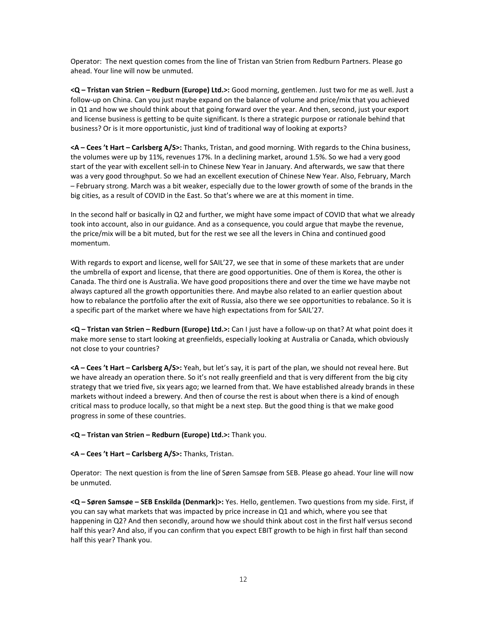Operator: The next question comes from the line of Tristan van Strien from Redburn Partners. Please go ahead. Your line will now be unmuted.

**<Q – Tristan van Strien – Redburn (Europe) Ltd.>:** Good morning, gentlemen. Just two for me as well. Just a follow-up on China. Can you just maybe expand on the balance of volume and price/mix that you achieved in Q1 and how we should think about that going forward over the year. And then, second, just your export and license business is getting to be quite significant. Is there a strategic purpose or rationale behind that business? Or is it more opportunistic, just kind of traditional way of looking at exports?

**<A – Cees 't Hart – Carlsberg A/S>:** Thanks, Tristan, and good morning. With regards to the China business, the volumes were up by 11%, revenues 17%. In a declining market, around 1.5%. So we had a very good start of the year with excellent sell-in to Chinese New Year in January. And afterwards, we saw that there was a very good throughput. So we had an excellent execution of Chinese New Year. Also, February, March – February strong. March was a bit weaker, especially due to the lower growth of some of the brands in the big cities, as a result of COVID in the East. So that's where we are at this moment in time.

In the second half or basically in Q2 and further, we might have some impact of COVID that what we already took into account, also in our guidance. And as a consequence, you could argue that maybe the revenue, the price/mix will be a bit muted, but for the rest we see all the levers in China and continued good momentum.

With regards to export and license, well for SAIL'27, we see that in some of these markets that are under the umbrella of export and license, that there are good opportunities. One of them is Korea, the other is Canada. The third one is Australia. We have good propositions there and over the time we have maybe not always captured all the growth opportunities there. And maybe also related to an earlier question about how to rebalance the portfolio after the exit of Russia, also there we see opportunities to rebalance. So it is a specific part of the market where we have high expectations from for SAIL'27.

**<Q – Tristan van Strien – Redburn (Europe) Ltd.>:** Can I just have a follow-up on that? At what point does it make more sense to start looking at greenfields, especially looking at Australia or Canada, which obviously not close to your countries?

**<A – Cees 't Hart – Carlsberg A/S>:** Yeah, but let's say, it is part of the plan, we should not reveal here. But we have already an operation there. So it's not really greenfield and that is very different from the big city strategy that we tried five, six years ago; we learned from that. We have established already brands in these markets without indeed a brewery. And then of course the rest is about when there is a kind of enough critical mass to produce locally, so that might be a next step. But the good thing is that we make good progress in some of these countries.

**<Q – Tristan van Strien – Redburn (Europe) Ltd.>:** Thank you.

**<A – Cees 't Hart – Carlsberg A/S>:** Thanks, Tristan.

Operator: The next question is from the line of Søren Samsøe from SEB. Please go ahead. Your line will now be unmuted.

**<Q – Søren Samsøe – SEB Enskilda (Denmark)>:** Yes. Hello, gentlemen. Two questions from my side. First, if you can say what markets that was impacted by price increase in Q1 and which, where you see that happening in Q2? And then secondly, around how we should think about cost in the first half versus second half this year? And also, if you can confirm that you expect EBIT growth to be high in first half than second half this year? Thank you.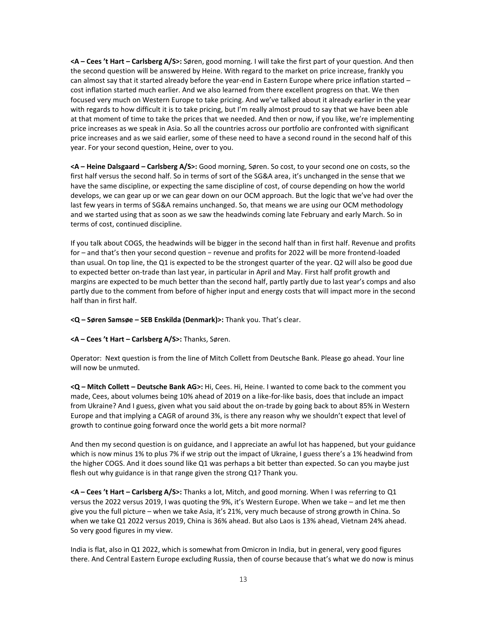**<A – Cees 't Hart – Carlsberg A/S>:** Søren, good morning. I will take the first part of your question. And then the second question will be answered by Heine. With regard to the market on price increase, frankly you can almost say that it started already before the year-end in Eastern Europe where price inflation started – cost inflation started much earlier. And we also learned from there excellent progress on that. We then focused very much on Western Europe to take pricing. And we've talked about it already earlier in the year with regards to how difficult it is to take pricing, but I'm really almost proud to say that we have been able at that moment of time to take the prices that we needed. And then or now, if you like, we're implementing price increases as we speak in Asia. So all the countries across our portfolio are confronted with significant price increases and as we said earlier, some of these need to have a second round in the second half of this year. For your second question, Heine, over to you.

**<A – Heine Dalsgaard – Carlsberg A/S>:** Good morning, Søren. So cost, to your second one on costs, so the first half versus the second half. So in terms of sort of the SG&A area, it's unchanged in the sense that we have the same discipline, or expecting the same discipline of cost, of course depending on how the world develops, we can gear up or we can gear down on our OCM approach. But the logic that we've had over the last few years in terms of SG&A remains unchanged. So, that means we are using our OCM methodology and we started using that as soon as we saw the headwinds coming late February and early March. So in terms of cost, continued discipline.

If you talk about COGS, the headwinds will be bigger in the second half than in first half. Revenue and profits for – and that's then your second question − revenue and profits for 2022 will be more frontend-loaded than usual. On top line, the Q1 is expected to be the strongest quarter of the year. Q2 will also be good due to expected better on-trade than last year, in particular in April and May. First half profit growth and margins are expected to be much better than the second half, partly partly due to last year's comps and also partly due to the comment from before of higher input and energy costs that will impact more in the second half than in first half.

**<Q – Søren Samsøe – SEB Enskilda (Denmark)>:** Thank you. That's clear.

# **<A – Cees 't Hart – Carlsberg A/S>:** Thanks, Søren.

Operator: Next question is from the line of Mitch Collett from Deutsche Bank. Please go ahead. Your line will now be unmuted.

**<Q – Mitch Collett – Deutsche Bank AG>:** Hi, Cees. Hi, Heine. I wanted to come back to the comment you made, Cees, about volumes being 10% ahead of 2019 on a like-for-like basis, does that include an impact from Ukraine? And I guess, given what you said about the on-trade by going back to about 85% in Western Europe and that implying a CAGR of around 3%, is there any reason why we shouldn't expect that level of growth to continue going forward once the world gets a bit more normal?

And then my second question is on guidance, and I appreciate an awful lot has happened, but your guidance which is now minus 1% to plus 7% if we strip out the impact of Ukraine, I guess there's a 1% headwind from the higher COGS. And it does sound like Q1 was perhaps a bit better than expected. So can you maybe just flesh out why guidance is in that range given the strong Q1? Thank you.

**<A – Cees 't Hart – Carlsberg A/S>:** Thanks a lot, Mitch, and good morning. When I was referring to Q1 versus the 2022 versus 2019, I was quoting the 9%, it's Western Europe. When we take – and let me then give you the full picture – when we take Asia, it's 21%, very much because of strong growth in China. So when we take Q1 2022 versus 2019, China is 36% ahead. But also Laos is 13% ahead, Vietnam 24% ahead. So very good figures in my view.

India is flat, also in Q1 2022, which is somewhat from Omicron in India, but in general, very good figures there. And Central Eastern Europe excluding Russia, then of course because that's what we do now is minus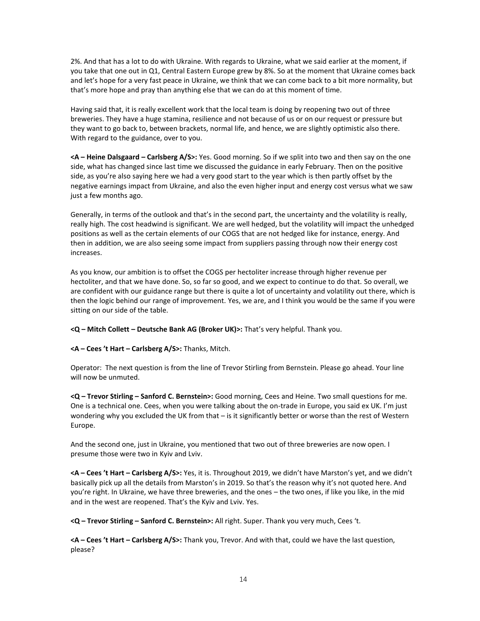2%. And that has a lot to do with Ukraine. With regards to Ukraine, what we said earlier at the moment, if you take that one out in Q1, Central Eastern Europe grew by 8%. So at the moment that Ukraine comes back and let's hope for a very fast peace in Ukraine, we think that we can come back to a bit more normality, but that's more hope and pray than anything else that we can do at this moment of time.

Having said that, it is really excellent work that the local team is doing by reopening two out of three breweries. They have a huge stamina, resilience and not because of us or on our request or pressure but they want to go back to, between brackets, normal life, and hence, we are slightly optimistic also there. With regard to the guidance, over to you.

**<A – Heine Dalsgaard – Carlsberg A/S>:** Yes. Good morning. So if we split into two and then say on the one side, what has changed since last time we discussed the guidance in early February. Then on the positive side, as you're also saying here we had a very good start to the year which is then partly offset by the negative earnings impact from Ukraine, and also the even higher input and energy cost versus what we saw just a few months ago.

Generally, in terms of the outlook and that's in the second part, the uncertainty and the volatility is really, really high. The cost headwind is significant. We are well hedged, but the volatility will impact the unhedged positions as well as the certain elements of our COGS that are not hedged like for instance, energy. And then in addition, we are also seeing some impact from suppliers passing through now their energy cost increases.

As you know, our ambition is to offset the COGS per hectoliter increase through higher revenue per hectoliter, and that we have done. So, so far so good, and we expect to continue to do that. So overall, we are confident with our guidance range but there is quite a lot of uncertainty and volatility out there, which is then the logic behind our range of improvement. Yes, we are, and I think you would be the same if you were sitting on our side of the table.

**<Q – Mitch Collett – Deutsche Bank AG (Broker UK)>:** That's very helpful. Thank you.

**<A – Cees 't Hart – Carlsberg A/S>:** Thanks, Mitch.

Operator: The next question is from the line of Trevor Stirling from Bernstein. Please go ahead. Your line will now be unmuted.

**<Q – Trevor Stirling – Sanford C. Bernstein>:** Good morning, Cees and Heine. Two small questions for me. One is a technical one. Cees, when you were talking about the on-trade in Europe, you said ex UK. I'm just wondering why you excluded the UK from that – is it significantly better or worse than the rest of Western Europe.

And the second one, just in Ukraine, you mentioned that two out of three breweries are now open. I presume those were two in Kyiv and Lviv.

**<A – Cees 't Hart – Carlsberg A/S>:** Yes, it is. Throughout 2019, we didn't have Marston's yet, and we didn't basically pick up all the details from Marston's in 2019. So that's the reason why it's not quoted here. And you're right. In Ukraine, we have three breweries, and the ones – the two ones, if like you like, in the mid and in the west are reopened. That's the Kyiv and Lviv. Yes.

**<Q – Trevor Stirling – Sanford C. Bernstein>:** All right. Super. Thank you very much, Cees 't.

**<A – Cees 't Hart – Carlsberg A/S>:** Thank you, Trevor. And with that, could we have the last question, please?